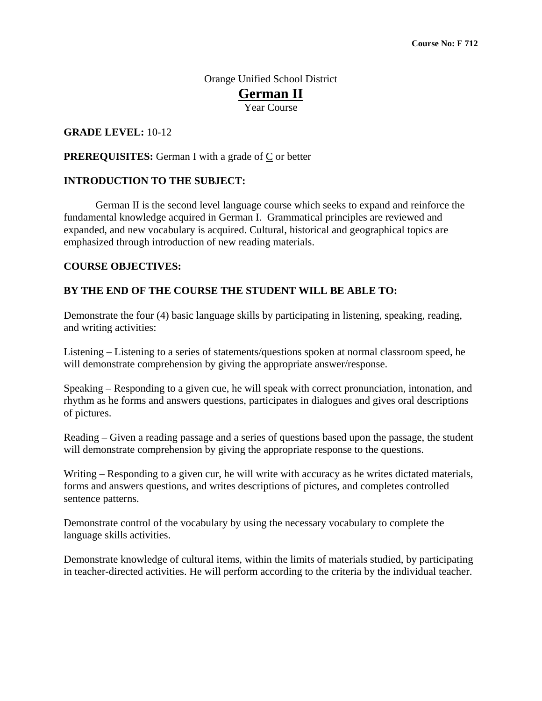# Orange Unified School District **German II** Year Course

### **GRADE LEVEL:** 10-12

### **PREREQUISITES:** German I with a grade of  $C$  or better

### **INTRODUCTION TO THE SUBJECT:**

 German II is the second level language course which seeks to expand and reinforce the fundamental knowledge acquired in German I. Grammatical principles are reviewed and expanded, and new vocabulary is acquired. Cultural, historical and geographical topics are emphasized through introduction of new reading materials.

#### **COURSE OBJECTIVES:**

#### **BY THE END OF THE COURSE THE STUDENT WILL BE ABLE TO:**

Demonstrate the four (4) basic language skills by participating in listening, speaking, reading, and writing activities:

Listening – Listening to a series of statements/questions spoken at normal classroom speed, he will demonstrate comprehension by giving the appropriate answer/response.

Speaking – Responding to a given cue, he will speak with correct pronunciation, intonation, and rhythm as he forms and answers questions, participates in dialogues and gives oral descriptions of pictures.

Reading – Given a reading passage and a series of questions based upon the passage, the student will demonstrate comprehension by giving the appropriate response to the questions.

Writing – Responding to a given cur, he will write with accuracy as he writes dictated materials, forms and answers questions, and writes descriptions of pictures, and completes controlled sentence patterns.

Demonstrate control of the vocabulary by using the necessary vocabulary to complete the language skills activities.

Demonstrate knowledge of cultural items, within the limits of materials studied, by participating in teacher-directed activities. He will perform according to the criteria by the individual teacher.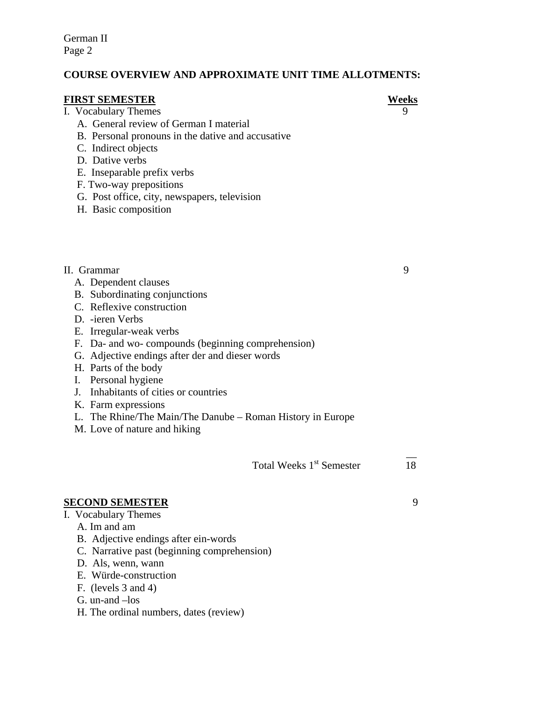German II Page 2

## **COURSE OVERVIEW AND APPROXIMATE UNIT TIME ALLOTMENTS:**

#### **FIRST SEMESTER** Weeks

#### I. Vocabulary Themes 9

- A. General review of German I material
- B. Personal pronouns in the dative and accusative
- C. Indirect objects
- D. Dative verbs
- E. Inseparable prefix verbs
- F. Two-way prepositions
- G. Post office, city, newspapers, television
- H. Basic composition

### II. Grammar 9

- A. Dependent clauses
- B. Subordinating conjunctions
- C. Reflexive construction
- D. -ieren Verbs
- E. Irregular-weak verbs
- F. Da- and wo- compounds (beginning comprehension)
- G. Adjective endings after der and dieser words
- H. Parts of the body
- I. Personal hygiene
- J. Inhabitants of cities or countries
- K. Farm expressions
- L. The Rhine/The Main/The Danube Roman History in Europe

 $\mathcal{L}_\mathcal{L}$  , where  $\mathcal{L}_\mathcal{L}$  is the contract of the contract of the contract of the contract of the contract of

M. Love of nature and hiking

Total Weeks 1<sup>st</sup> Semester 18

## **SECOND SEMESTER** 9

- I. Vocabulary Themes
	- A. Im and am
	- B. Adjective endings after ein-words
	- C. Narrative past (beginning comprehension)
	- D. Als, wenn, wann
	- E. Würde-construction
	- F. (levels 3 and 4)
	- G. un-and –los
	- H. The ordinal numbers, dates (review)